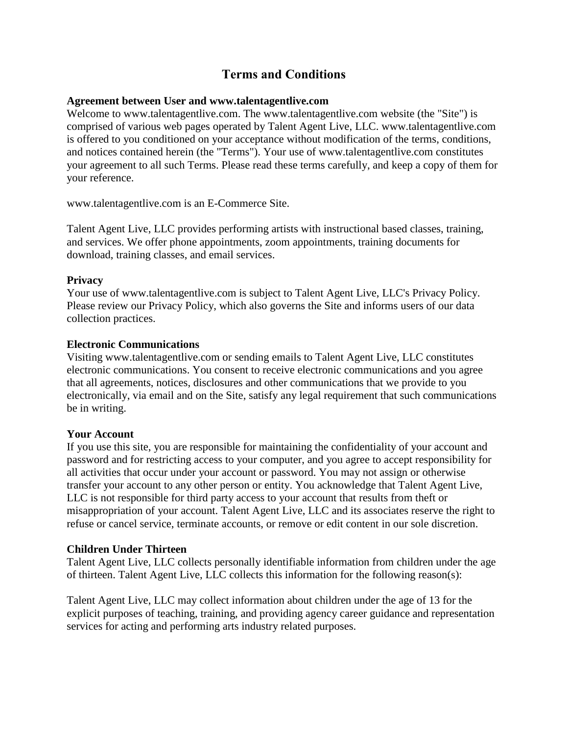# **Terms and Conditions**

### **Agreement between User and www.talentagentlive.com**

Welcome to www.talentagentlive.com. The www.talentagentlive.com website (the "Site") is comprised of various web pages operated by Talent Agent Live, LLC. www.talentagentlive.com is offered to you conditioned on your acceptance without modification of the terms, conditions, and notices contained herein (the "Terms"). Your use of www.talentagentlive.com constitutes your agreement to all such Terms. Please read these terms carefully, and keep a copy of them for your reference.

www.talentagentlive.com is an E-Commerce Site.

Talent Agent Live, LLC provides performing artists with instructional based classes, training, and services. We offer phone appointments, zoom appointments, training documents for download, training classes, and email services.

#### **Privacy**

Your use of www.talentagentlive.com is subject to Talent Agent Live, LLC's Privacy Policy. Please review our Privacy Policy, which also governs the Site and informs users of our data collection practices.

### **Electronic Communications**

Visiting www.talentagentlive.com or sending emails to Talent Agent Live, LLC constitutes electronic communications. You consent to receive electronic communications and you agree that all agreements, notices, disclosures and other communications that we provide to you electronically, via email and on the Site, satisfy any legal requirement that such communications be in writing.

### **Your Account**

If you use this site, you are responsible for maintaining the confidentiality of your account and password and for restricting access to your computer, and you agree to accept responsibility for all activities that occur under your account or password. You may not assign or otherwise transfer your account to any other person or entity. You acknowledge that Talent Agent Live, LLC is not responsible for third party access to your account that results from theft or misappropriation of your account. Talent Agent Live, LLC and its associates reserve the right to refuse or cancel service, terminate accounts, or remove or edit content in our sole discretion.

### **Children Under Thirteen**

Talent Agent Live, LLC collects personally identifiable information from children under the age of thirteen. Talent Agent Live, LLC collects this information for the following reason(s):

Talent Agent Live, LLC may collect information about children under the age of 13 for the explicit purposes of teaching, training, and providing agency career guidance and representation services for acting and performing arts industry related purposes.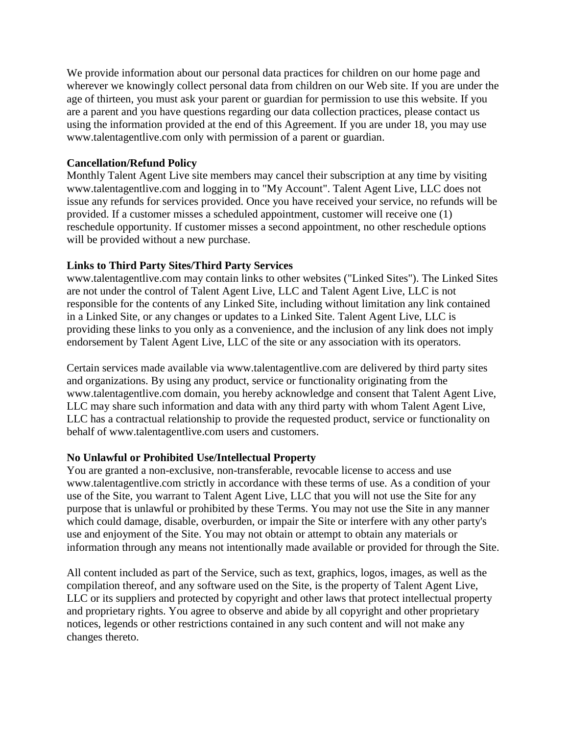We provide information about our personal data practices for children on our home page and wherever we knowingly collect personal data from children on our Web site. If you are under the age of thirteen, you must ask your parent or guardian for permission to use this website. If you are a parent and you have questions regarding our data collection practices, please contact us using the information provided at the end of this Agreement. If you are under 18, you may use www.talentagentlive.com only with permission of a parent or guardian.

### **Cancellation/Refund Policy**

Monthly Talent Agent Live site members may cancel their subscription at any time by visiting www.talentagentlive.com and logging in to "My Account". Talent Agent Live, LLC does not issue any refunds for services provided. Once you have received your service, no refunds will be provided. If a customer misses a scheduled appointment, customer will receive one (1) reschedule opportunity. If customer misses a second appointment, no other reschedule options will be provided without a new purchase.

### **Links to Third Party Sites/Third Party Services**

www.talentagentlive.com may contain links to other websites ("Linked Sites"). The Linked Sites are not under the control of Talent Agent Live, LLC and Talent Agent Live, LLC is not responsible for the contents of any Linked Site, including without limitation any link contained in a Linked Site, or any changes or updates to a Linked Site. Talent Agent Live, LLC is providing these links to you only as a convenience, and the inclusion of any link does not imply endorsement by Talent Agent Live, LLC of the site or any association with its operators.

Certain services made available via www.talentagentlive.com are delivered by third party sites and organizations. By using any product, service or functionality originating from the www.talentagentlive.com domain, you hereby acknowledge and consent that Talent Agent Live, LLC may share such information and data with any third party with whom Talent Agent Live, LLC has a contractual relationship to provide the requested product, service or functionality on behalf of www.talentagentlive.com users and customers.

### **No Unlawful or Prohibited Use/Intellectual Property**

You are granted a non-exclusive, non-transferable, revocable license to access and use www.talentagentlive.com strictly in accordance with these terms of use. As a condition of your use of the Site, you warrant to Talent Agent Live, LLC that you will not use the Site for any purpose that is unlawful or prohibited by these Terms. You may not use the Site in any manner which could damage, disable, overburden, or impair the Site or interfere with any other party's use and enjoyment of the Site. You may not obtain or attempt to obtain any materials or information through any means not intentionally made available or provided for through the Site.

All content included as part of the Service, such as text, graphics, logos, images, as well as the compilation thereof, and any software used on the Site, is the property of Talent Agent Live, LLC or its suppliers and protected by copyright and other laws that protect intellectual property and proprietary rights. You agree to observe and abide by all copyright and other proprietary notices, legends or other restrictions contained in any such content and will not make any changes thereto.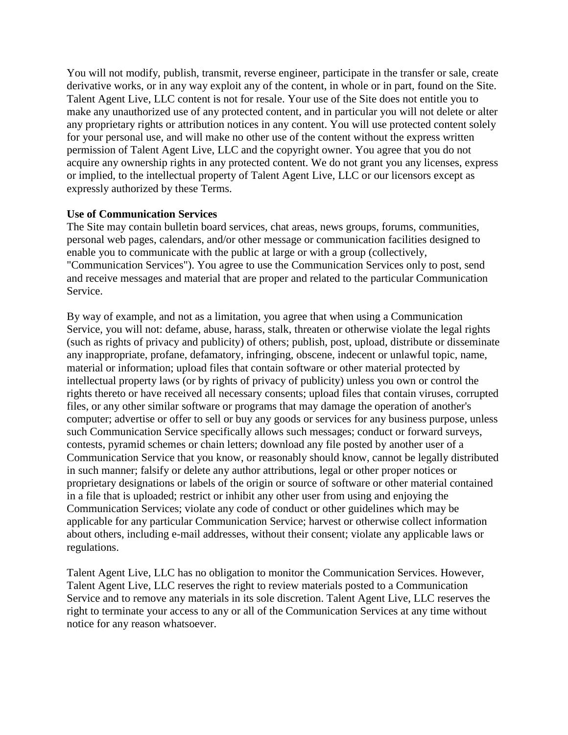You will not modify, publish, transmit, reverse engineer, participate in the transfer or sale, create derivative works, or in any way exploit any of the content, in whole or in part, found on the Site. Talent Agent Live, LLC content is not for resale. Your use of the Site does not entitle you to make any unauthorized use of any protected content, and in particular you will not delete or alter any proprietary rights or attribution notices in any content. You will use protected content solely for your personal use, and will make no other use of the content without the express written permission of Talent Agent Live, LLC and the copyright owner. You agree that you do not acquire any ownership rights in any protected content. We do not grant you any licenses, express or implied, to the intellectual property of Talent Agent Live, LLC or our licensors except as expressly authorized by these Terms.

### **Use of Communication Services**

The Site may contain bulletin board services, chat areas, news groups, forums, communities, personal web pages, calendars, and/or other message or communication facilities designed to enable you to communicate with the public at large or with a group (collectively, "Communication Services"). You agree to use the Communication Services only to post, send and receive messages and material that are proper and related to the particular Communication Service.

By way of example, and not as a limitation, you agree that when using a Communication Service, you will not: defame, abuse, harass, stalk, threaten or otherwise violate the legal rights (such as rights of privacy and publicity) of others; publish, post, upload, distribute or disseminate any inappropriate, profane, defamatory, infringing, obscene, indecent or unlawful topic, name, material or information; upload files that contain software or other material protected by intellectual property laws (or by rights of privacy of publicity) unless you own or control the rights thereto or have received all necessary consents; upload files that contain viruses, corrupted files, or any other similar software or programs that may damage the operation of another's computer; advertise or offer to sell or buy any goods or services for any business purpose, unless such Communication Service specifically allows such messages; conduct or forward surveys, contests, pyramid schemes or chain letters; download any file posted by another user of a Communication Service that you know, or reasonably should know, cannot be legally distributed in such manner; falsify or delete any author attributions, legal or other proper notices or proprietary designations or labels of the origin or source of software or other material contained in a file that is uploaded; restrict or inhibit any other user from using and enjoying the Communication Services; violate any code of conduct or other guidelines which may be applicable for any particular Communication Service; harvest or otherwise collect information about others, including e-mail addresses, without their consent; violate any applicable laws or regulations.

Talent Agent Live, LLC has no obligation to monitor the Communication Services. However, Talent Agent Live, LLC reserves the right to review materials posted to a Communication Service and to remove any materials in its sole discretion. Talent Agent Live, LLC reserves the right to terminate your access to any or all of the Communication Services at any time without notice for any reason whatsoever.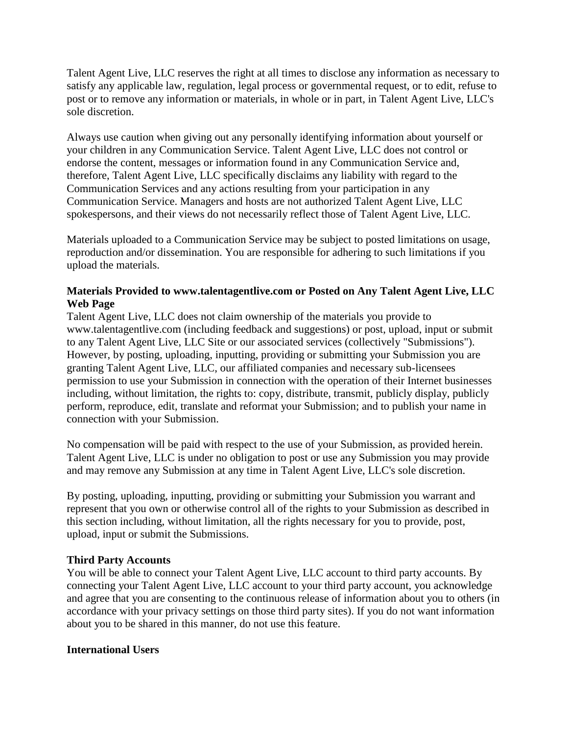Talent Agent Live, LLC reserves the right at all times to disclose any information as necessary to satisfy any applicable law, regulation, legal process or governmental request, or to edit, refuse to post or to remove any information or materials, in whole or in part, in Talent Agent Live, LLC's sole discretion.

Always use caution when giving out any personally identifying information about yourself or your children in any Communication Service. Talent Agent Live, LLC does not control or endorse the content, messages or information found in any Communication Service and, therefore, Talent Agent Live, LLC specifically disclaims any liability with regard to the Communication Services and any actions resulting from your participation in any Communication Service. Managers and hosts are not authorized Talent Agent Live, LLC spokespersons, and their views do not necessarily reflect those of Talent Agent Live, LLC.

Materials uploaded to a Communication Service may be subject to posted limitations on usage, reproduction and/or dissemination. You are responsible for adhering to such limitations if you upload the materials.

# **Materials Provided to www.talentagentlive.com or Posted on Any Talent Agent Live, LLC Web Page**

Talent Agent Live, LLC does not claim ownership of the materials you provide to www.talentagentlive.com (including feedback and suggestions) or post, upload, input or submit to any Talent Agent Live, LLC Site or our associated services (collectively "Submissions"). However, by posting, uploading, inputting, providing or submitting your Submission you are granting Talent Agent Live, LLC, our affiliated companies and necessary sub-licensees permission to use your Submission in connection with the operation of their Internet businesses including, without limitation, the rights to: copy, distribute, transmit, publicly display, publicly perform, reproduce, edit, translate and reformat your Submission; and to publish your name in connection with your Submission.

No compensation will be paid with respect to the use of your Submission, as provided herein. Talent Agent Live, LLC is under no obligation to post or use any Submission you may provide and may remove any Submission at any time in Talent Agent Live, LLC's sole discretion.

By posting, uploading, inputting, providing or submitting your Submission you warrant and represent that you own or otherwise control all of the rights to your Submission as described in this section including, without limitation, all the rights necessary for you to provide, post, upload, input or submit the Submissions.

# **Third Party Accounts**

You will be able to connect your Talent Agent Live, LLC account to third party accounts. By connecting your Talent Agent Live, LLC account to your third party account, you acknowledge and agree that you are consenting to the continuous release of information about you to others (in accordance with your privacy settings on those third party sites). If you do not want information about you to be shared in this manner, do not use this feature.

### **International Users**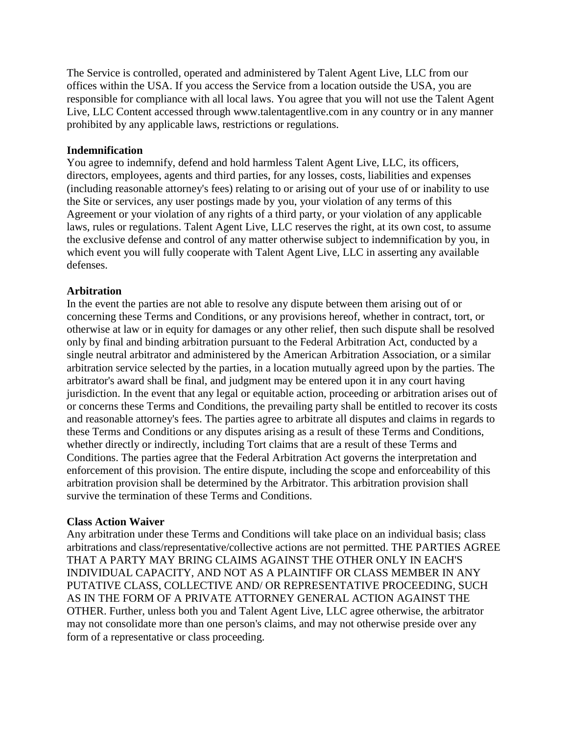The Service is controlled, operated and administered by Talent Agent Live, LLC from our offices within the USA. If you access the Service from a location outside the USA, you are responsible for compliance with all local laws. You agree that you will not use the Talent Agent Live, LLC Content accessed through www.talentagentlive.com in any country or in any manner prohibited by any applicable laws, restrictions or regulations.

### **Indemnification**

You agree to indemnify, defend and hold harmless Talent Agent Live, LLC, its officers, directors, employees, agents and third parties, for any losses, costs, liabilities and expenses (including reasonable attorney's fees) relating to or arising out of your use of or inability to use the Site or services, any user postings made by you, your violation of any terms of this Agreement or your violation of any rights of a third party, or your violation of any applicable laws, rules or regulations. Talent Agent Live, LLC reserves the right, at its own cost, to assume the exclusive defense and control of any matter otherwise subject to indemnification by you, in which event you will fully cooperate with Talent Agent Live, LLC in asserting any available defenses.

### **Arbitration**

In the event the parties are not able to resolve any dispute between them arising out of or concerning these Terms and Conditions, or any provisions hereof, whether in contract, tort, or otherwise at law or in equity for damages or any other relief, then such dispute shall be resolved only by final and binding arbitration pursuant to the Federal Arbitration Act, conducted by a single neutral arbitrator and administered by the American Arbitration Association, or a similar arbitration service selected by the parties, in a location mutually agreed upon by the parties. The arbitrator's award shall be final, and judgment may be entered upon it in any court having jurisdiction. In the event that any legal or equitable action, proceeding or arbitration arises out of or concerns these Terms and Conditions, the prevailing party shall be entitled to recover its costs and reasonable attorney's fees. The parties agree to arbitrate all disputes and claims in regards to these Terms and Conditions or any disputes arising as a result of these Terms and Conditions, whether directly or indirectly, including Tort claims that are a result of these Terms and Conditions. The parties agree that the Federal Arbitration Act governs the interpretation and enforcement of this provision. The entire dispute, including the scope and enforceability of this arbitration provision shall be determined by the Arbitrator. This arbitration provision shall survive the termination of these Terms and Conditions.

### **Class Action Waiver**

Any arbitration under these Terms and Conditions will take place on an individual basis; class arbitrations and class/representative/collective actions are not permitted. THE PARTIES AGREE THAT A PARTY MAY BRING CLAIMS AGAINST THE OTHER ONLY IN EACH'S INDIVIDUAL CAPACITY, AND NOT AS A PLAINTIFF OR CLASS MEMBER IN ANY PUTATIVE CLASS, COLLECTIVE AND/ OR REPRESENTATIVE PROCEEDING, SUCH AS IN THE FORM OF A PRIVATE ATTORNEY GENERAL ACTION AGAINST THE OTHER. Further, unless both you and Talent Agent Live, LLC agree otherwise, the arbitrator may not consolidate more than one person's claims, and may not otherwise preside over any form of a representative or class proceeding.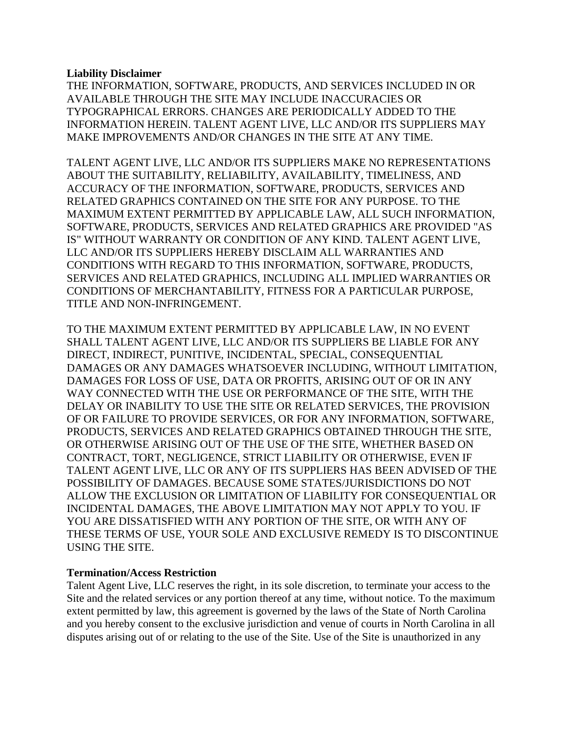#### **Liability Disclaimer**

THE INFORMATION, SOFTWARE, PRODUCTS, AND SERVICES INCLUDED IN OR AVAILABLE THROUGH THE SITE MAY INCLUDE INACCURACIES OR TYPOGRAPHICAL ERRORS. CHANGES ARE PERIODICALLY ADDED TO THE INFORMATION HEREIN. TALENT AGENT LIVE, LLC AND/OR ITS SUPPLIERS MAY MAKE IMPROVEMENTS AND/OR CHANGES IN THE SITE AT ANY TIME.

TALENT AGENT LIVE, LLC AND/OR ITS SUPPLIERS MAKE NO REPRESENTATIONS ABOUT THE SUITABILITY, RELIABILITY, AVAILABILITY, TIMELINESS, AND ACCURACY OF THE INFORMATION, SOFTWARE, PRODUCTS, SERVICES AND RELATED GRAPHICS CONTAINED ON THE SITE FOR ANY PURPOSE. TO THE MAXIMUM EXTENT PERMITTED BY APPLICABLE LAW, ALL SUCH INFORMATION, SOFTWARE, PRODUCTS, SERVICES AND RELATED GRAPHICS ARE PROVIDED "AS IS" WITHOUT WARRANTY OR CONDITION OF ANY KIND. TALENT AGENT LIVE, LLC AND/OR ITS SUPPLIERS HEREBY DISCLAIM ALL WARRANTIES AND CONDITIONS WITH REGARD TO THIS INFORMATION, SOFTWARE, PRODUCTS, SERVICES AND RELATED GRAPHICS, INCLUDING ALL IMPLIED WARRANTIES OR CONDITIONS OF MERCHANTABILITY, FITNESS FOR A PARTICULAR PURPOSE, TITLE AND NON-INFRINGEMENT.

TO THE MAXIMUM EXTENT PERMITTED BY APPLICABLE LAW, IN NO EVENT SHALL TALENT AGENT LIVE, LLC AND/OR ITS SUPPLIERS BE LIABLE FOR ANY DIRECT, INDIRECT, PUNITIVE, INCIDENTAL, SPECIAL, CONSEQUENTIAL DAMAGES OR ANY DAMAGES WHATSOEVER INCLUDING, WITHOUT LIMITATION, DAMAGES FOR LOSS OF USE, DATA OR PROFITS, ARISING OUT OF OR IN ANY WAY CONNECTED WITH THE USE OR PERFORMANCE OF THE SITE, WITH THE DELAY OR INABILITY TO USE THE SITE OR RELATED SERVICES, THE PROVISION OF OR FAILURE TO PROVIDE SERVICES, OR FOR ANY INFORMATION, SOFTWARE, PRODUCTS, SERVICES AND RELATED GRAPHICS OBTAINED THROUGH THE SITE, OR OTHERWISE ARISING OUT OF THE USE OF THE SITE, WHETHER BASED ON CONTRACT, TORT, NEGLIGENCE, STRICT LIABILITY OR OTHERWISE, EVEN IF TALENT AGENT LIVE, LLC OR ANY OF ITS SUPPLIERS HAS BEEN ADVISED OF THE POSSIBILITY OF DAMAGES. BECAUSE SOME STATES/JURISDICTIONS DO NOT ALLOW THE EXCLUSION OR LIMITATION OF LIABILITY FOR CONSEQUENTIAL OR INCIDENTAL DAMAGES, THE ABOVE LIMITATION MAY NOT APPLY TO YOU. IF YOU ARE DISSATISFIED WITH ANY PORTION OF THE SITE, OR WITH ANY OF THESE TERMS OF USE, YOUR SOLE AND EXCLUSIVE REMEDY IS TO DISCONTINUE USING THE SITE.

### **Termination/Access Restriction**

Talent Agent Live, LLC reserves the right, in its sole discretion, to terminate your access to the Site and the related services or any portion thereof at any time, without notice. To the maximum extent permitted by law, this agreement is governed by the laws of the State of North Carolina and you hereby consent to the exclusive jurisdiction and venue of courts in North Carolina in all disputes arising out of or relating to the use of the Site. Use of the Site is unauthorized in any